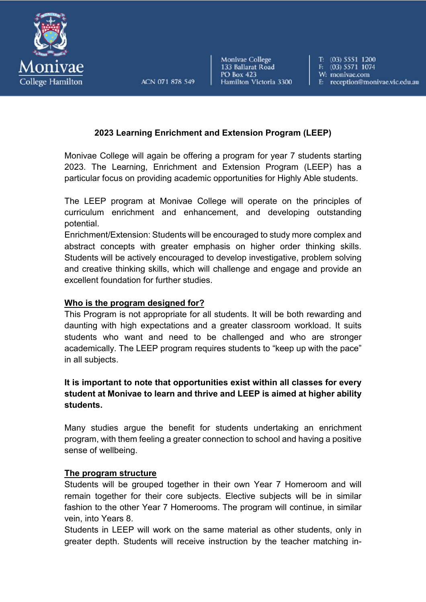

ACN 071 878 549

Monivae College 133 Ballarat Road **PO Box 423** Hamilton Victoria 3300

T: (03) 5551 1200 F: (03) 5571 1074 W: monivae.com E: reception@monivae.vic.edu.au

## **2023 Learning Enrichment and Extension Program (LEEP)**

Monivae College will again be offering a program for year 7 students starting 2023. The Learning, Enrichment and Extension Program (LEEP) has a particular focus on providing academic opportunities for Highly Able students.

The LEEP program at Monivae College will operate on the principles of curriculum enrichment and enhancement, and developing outstanding potential.

Enrichment/Extension: Students will be encouraged to study more complex and abstract concepts with greater emphasis on higher order thinking skills. Students will be actively encouraged to develop investigative, problem solving and creative thinking skills, which will challenge and engage and provide an excellent foundation for further studies.

#### **Who is the program designed for?**

This Program is not appropriate for all students. It will be both rewarding and daunting with high expectations and a greater classroom workload. It suits students who want and need to be challenged and who are stronger academically. The LEEP program requires students to "keep up with the pace" in all subjects.

## **It is important to note that opportunities exist within all classes for every student at Monivae to learn and thrive and LEEP is aimed at higher ability students.**

Many studies argue the benefit for students undertaking an enrichment program, with them feeling a greater connection to school and having a positive sense of wellbeing.

#### **The program structure**

Students will be grouped together in their own Year 7 Homeroom and will remain together for their core subjects. Elective subjects will be in similar fashion to the other Year 7 Homerooms. The program will continue, in similar vein, into Years 8.

Students in LEEP will work on the same material as other students, only in greater depth. Students will receive instruction by the teacher matching in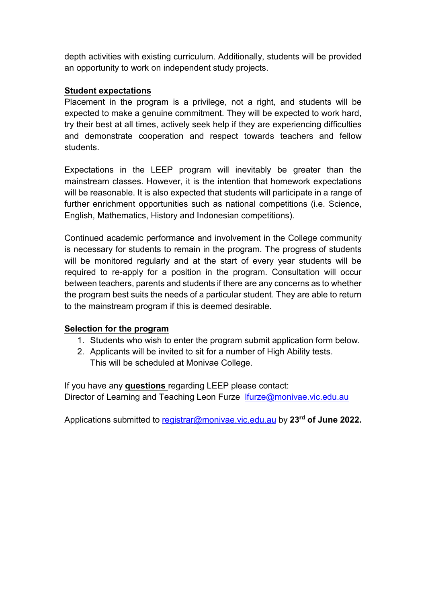depth activities with existing curriculum. Additionally, students will be provided an opportunity to work on independent study projects.

#### **Student expectations**

Placement in the program is a privilege, not a right, and students will be expected to make a genuine commitment. They will be expected to work hard, try their best at all times, actively seek help if they are experiencing difficulties and demonstrate cooperation and respect towards teachers and fellow students.

Expectations in the LEEP program will inevitably be greater than the mainstream classes. However, it is the intention that homework expectations will be reasonable. It is also expected that students will participate in a range of further enrichment opportunities such as national competitions (i.e. Science, English, Mathematics, History and Indonesian competitions).

Continued academic performance and involvement in the College community is necessary for students to remain in the program. The progress of students will be monitored regularly and at the start of every year students will be required to re-apply for a position in the program. Consultation will occur between teachers, parents and students if there are any concerns as to whether the program best suits the needs of a particular student. They are able to return to the mainstream program if this is deemed desirable.

#### **Selection for the program**

- 1. Students who wish to enter the program submit application form below.
- 2. Applicants will be invited to sit for a number of High Ability tests. This will be scheduled at Monivae College.

If you have any **questions** regarding LEEP please contact: Director of Learning and Teaching Leon Furze [lfurze@monivae.vic.edu.au](mailto:lfurze@monivae.vic.edu.au)

Applications submitted to registrar@monivae.vic.edu.au by **23rd of June 2022.**